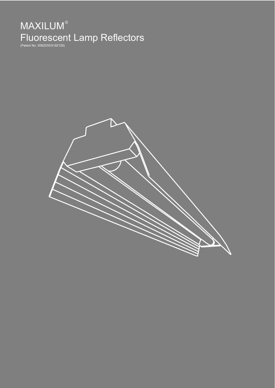# **MAXILUM**<sup>®</sup> Fluorescent Lamp Reflectors

(Patent No. 5062030/5192129)

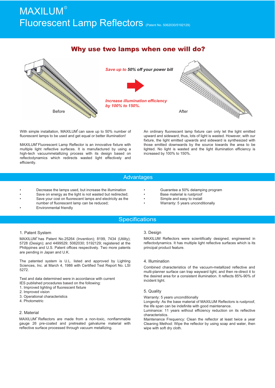## **MAXILUM®** Fluorescent Lamp Reflectors (Patent No. 5062030/5192129)

## Why use two lamps when one will do?



With simple installation, MAXILUM<sup>®</sup> can save up to 50% number of fluorescent lamps to be used and get equal or better illumination!

MAXILUM<sup>®</sup> Fluorescent Lamp Reflector is an innovative fixture with multiple light reflective surfaces. It is manufactured by using a high-tech vacuummetallizing process with its design based on reflectodynamics which redirects wasted light effectively and efficiently.

An ordinary fluorescent lamp fixture can only let the light emitted upward and sideward, thus, lots of light is wasted. However, with our fixture, the light emitted upwards and sideward is synthesized with those emitted downwards by the source towards the area to be lighted. No light is wasted and the light illumination efficiency is increased by 100% to 150%.

#### **Advantages**

- Decrease the lamps used, but increase the illumination
- Save on energy as the light is not wasted but redirected;
- Save your cost on fluorescent lamps and electricity as the
- number of fluorescent lamp can be reduced;
- Environmental friendly
- Guarantee a 50% delamping program
- Base material is rustproof
- Simple and easy to install
- Warranty: 5 years unconditionally

### **Specifications**

#### 1. Patent System

MAXILUM<sup>®</sup> has Patent No.25264 (Invention); 8199, 7434 (Utility); 5728 (Design); and 4499529; 5062030; 5192129; registered at the Philippines and U.S. Patent offices respectively. Two more patents are pending in Japan and U.K.

The patented system is U.L. listed and approved by Lighting Sciences, Inc. at March 4, 1986 with Certified Test Report No. LSI 5272.

Test and data determined were in accordance with current

- IES published procedures based on the following:
- 1. Improved lighting of fluorescent fixture
- 2. Improved vision
- 3. Operational characteristics
- 4. Photometric

#### 2. Material

MAXILUM<sup>®</sup> Reflectors are made from a non-toxic, nonflammable gauge 26 pre-coated and pretreated galvalume material with reflective surface processed through vacuum metallizing.

#### 3. Design

MAXILUM Reflectors were scientifically designed, engineered in reflectodynamics. It has multiple light reflective surfaces which is its principal product feature.

#### 4. Illumination

Combined characteristics of the vacuum-metallized reflective and multi-planner surface can trap wayward light, and then re-direct it to the desired area for a consistent illumination. It reflects 85%-90% of incident light.

#### 5. Quality

Warranty: 5 years unconditionally

Longevity: As the base material of MAXILUM Reflectors is rustproof, the life span can be indefinite with good maintenance.

Luminance: 11 years without efficiency reduction on its reflective characteristics.

Maintenance Frequency: Clean the reflector at least twice a year Cleaning Method: Wipe the reflector by using soap and water, then wipe with soft dry cloth.